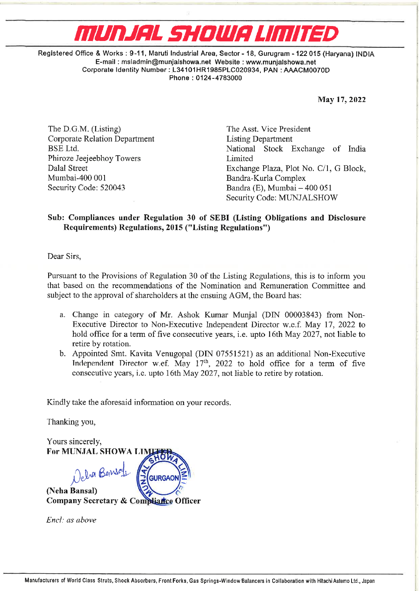## **ENVILLENCE** MUNJAL SHOWA LIMITED

Registered Office & Works : 9-11, Maruti Industrial Area, Sector - 18, Gurugram - 122 015 (Haryana) INDIA E-mail : msiadmin@munjalshowa.net Website : www.munjalshowa.net Corporate Identity Number : L34101HR1985PLC020934, PAN : AAACM0070D Phone : 0124-4783000

May 17, 2022

The D.G.M. (Listing) The Asst. Vice President Corporate Relation Department Listing Department Phiroze Jeejeebhoy Towers Limited Mumbai-400 001 Bandra-Kurla Complex

BSE Ltd. National Stock Exchange of India Dalal Street Exchange Plaza, Plot No. C/l, G Block, Security Code: 520043 Bandra (E), Mumbai – 400 051 Security Code: MUNJALSHOW

## Sub: Compliances under Regulation 30 of SEBI (Listing Obligations and Disclosure Requirements) Regulations, 2015 ("Listing Regulations")

Dear Sirs,

Pursuant to the Provisions of Regulation 30 of the Listing Regulations, this is to inform you that based on the recommendations of the Nomination and Remuneration Committee and subject to the approval of shareholders at the ensuing AGM, the Board has:

- a. Change in category of Mr. Ashok Kumar Munjal (DIN 00003843) from Non-Executive Director to Non-Executive Independent Director w.e.f. May 17, 2022 to hold office for a term of five consecutive years, i.e. upto 16th May 2027, not liable to retire by rotation.
- b. Appointed Smt. Kavita Venugopal (DIN 07551521) as an additional Non-Executive Independent Director w.ef. May  $17<sup>th</sup>$ , 2022 to hold office for a term of five consecutive ycars, i.c. upto 16th May 2027, not liable to retire by rotation.

Kindly take the aforesaid information on your records.

Thanking you,

Yours sincerely, For MUNJAL SHOWA LI ela Bansay (Neha Bansal) Company Secretary & Compliance Officer **GURGAON** Examples 1400 001<br>
Security Code: 520043<br>
Sub: Compliances under Regulation 30 of Requirements) Regulations, 2015 ("List<br>
Dear Sirs,<br>
Pursuant to the Provisions of Regulations of the b<br>
that based on the recommendations o

Encl: as abave